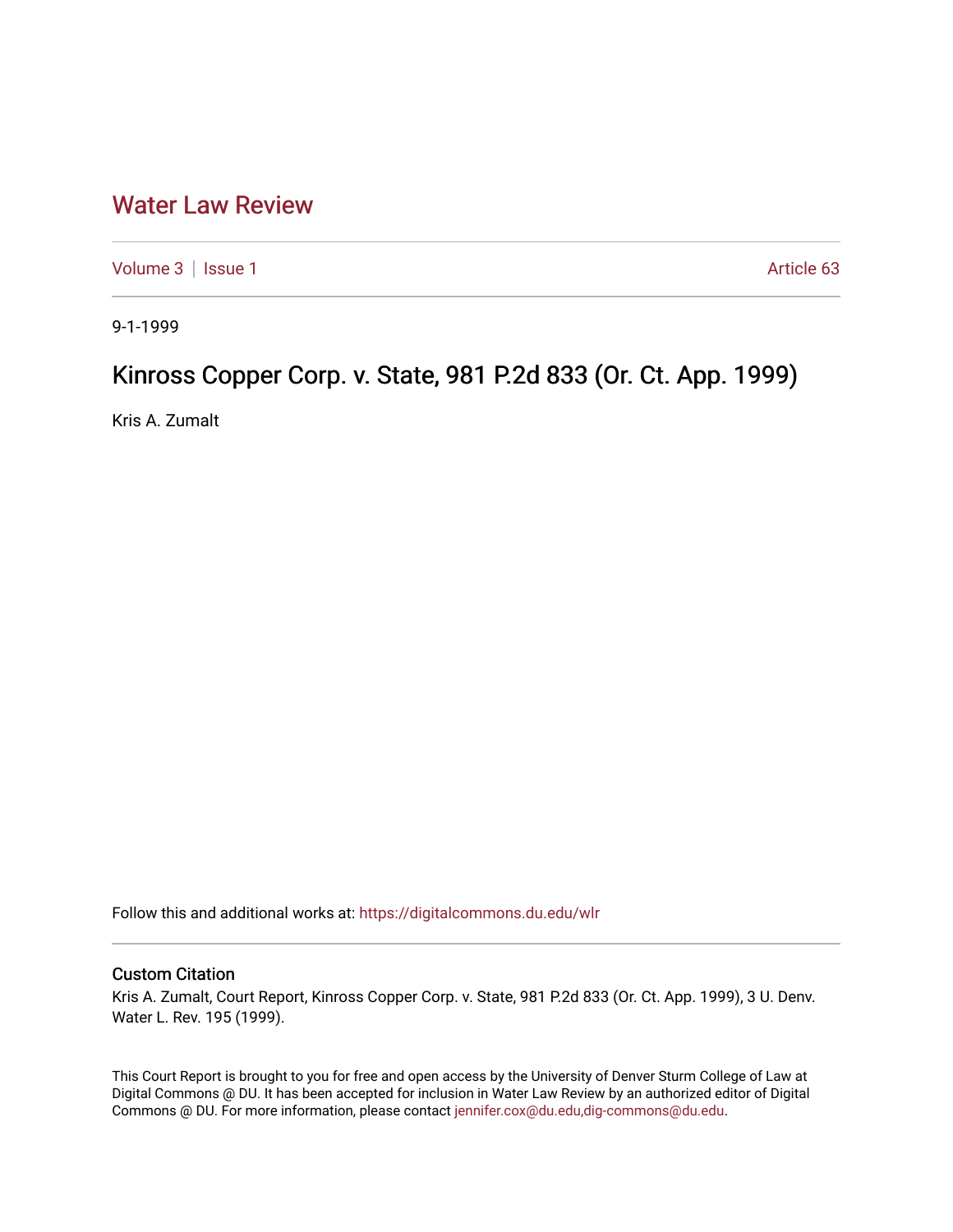## [Water Law Review](https://digitalcommons.du.edu/wlr)

[Volume 3](https://digitalcommons.du.edu/wlr/vol3) | [Issue 1](https://digitalcommons.du.edu/wlr/vol3/iss1) Article 63

9-1-1999

## Kinross Copper Corp. v. State, 981 P.2d 833 (Or. Ct. App. 1999)

Kris A. Zumalt

Follow this and additional works at: [https://digitalcommons.du.edu/wlr](https://digitalcommons.du.edu/wlr?utm_source=digitalcommons.du.edu%2Fwlr%2Fvol3%2Fiss1%2F63&utm_medium=PDF&utm_campaign=PDFCoverPages) 

## Custom Citation

Kris A. Zumalt, Court Report, Kinross Copper Corp. v. State, 981 P.2d 833 (Or. Ct. App. 1999), 3 U. Denv. Water L. Rev. 195 (1999).

This Court Report is brought to you for free and open access by the University of Denver Sturm College of Law at Digital Commons @ DU. It has been accepted for inclusion in Water Law Review by an authorized editor of Digital Commons @ DU. For more information, please contact [jennifer.cox@du.edu,dig-commons@du.edu.](mailto:jennifer.cox@du.edu,dig-commons@du.edu)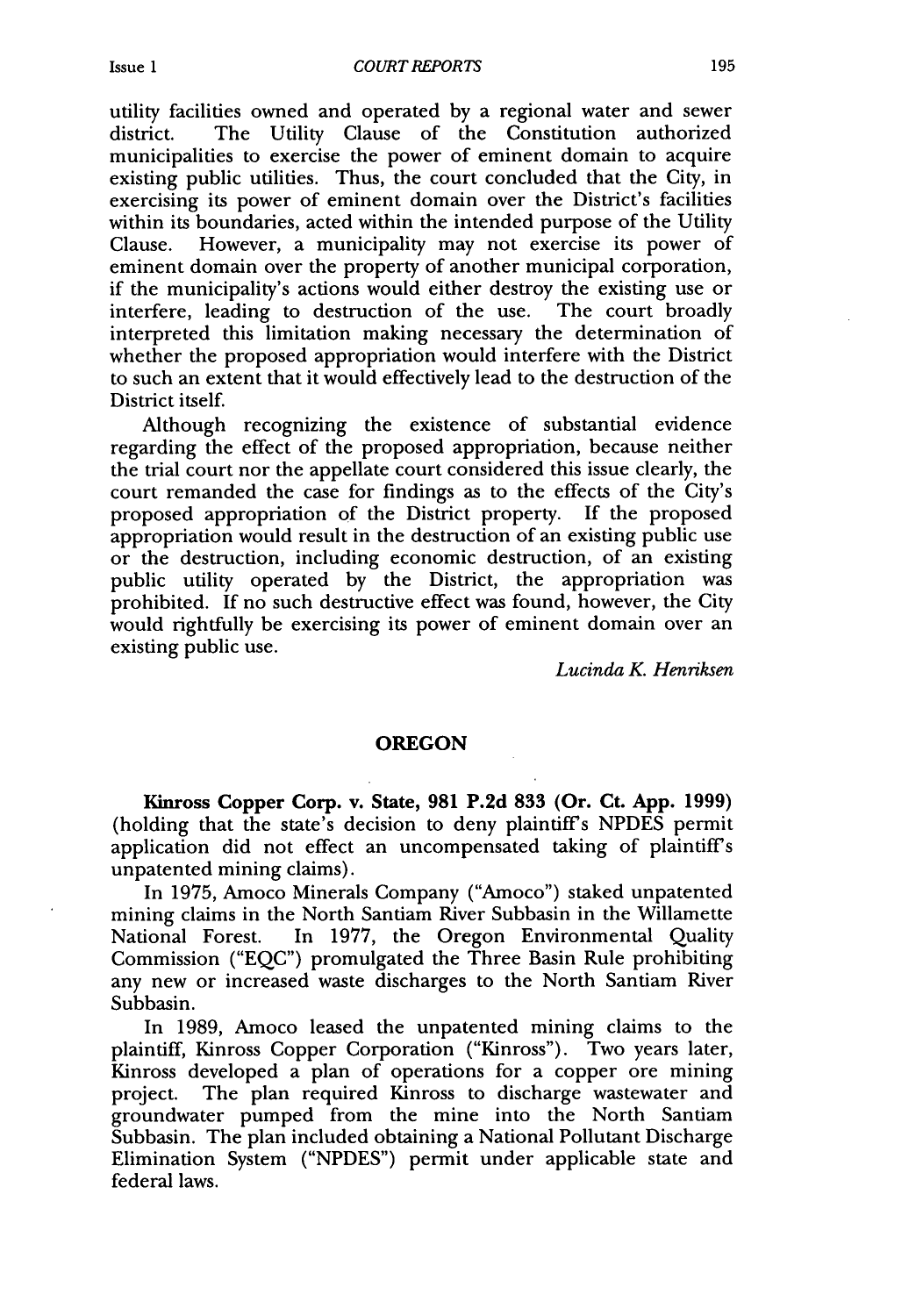utility facilities owned and operated by a regional water and sewer district. The Utility Clause of the Constitution authorized municipalities to exercise the power of eminent domain to acquire existing public utilities. Thus, the court concluded that the City, in exercising its power of eminent domain over the District's facilities within its boundaries, acted within the intended purpose of the Utility Clause. However, a municipality may not exercise its power of eminent domain over the property of another municipal corporation, if the municipality's actions would either destroy the existing use or interfere, leading to destruction of the use. The court broadly interpreted this limitation making necessary the determination of whether the proposed appropriation would interfere with the District to such an extent that it would effectively lead to the destruction of the District itself.

Although recognizing the existence of substantial evidence regarding the effect of the proposed appropriation, because neither the trial court nor the appellate court considered this issue clearly, the court remanded the case for findings as to the effects of the City's proposed appropriation of the District property. If the proposed appropriation would result in the destruction of an existing public use or the destruction, including economic destruction, of an existing public utility operated by the District, the appropriation was prohibited. If no such destructive effect was found, however, the City would rightfully be exercising its power of eminent domain over an existing public use.

*Lucinda K Henriksen*

## **OREGON**

**Kinross Copper Corp. v. State, 981 P.2d 833 (Or. Ct. App. 1999)** (holding that the state's decision to deny plaintiff's NPDES permit application did not effect an uncompensated taking of plaintiff's unpatented mining claims).

In 1975, Amoco Minerals Company ("Amoco") staked unpatented mining claims in the North Santiam River Subbasin in the Willamette National Forest. In 1977, the Oregon Environmental Quality Commission ("EQC") promulgated the Three Basin Rule prohibiting any new or increased waste discharges to the North Santiam River Subbasin.

In 1989, Amoco leased the unpatented mining claims to the plaintiff, Kinross Copper Corporation ("Kinross"). Two years later, Kinross developed a plan of operations for a copper ore mining project. The plan required Kinross to discharge wastewater and groundwater pumped from the mine into the North Santiam Subbasin. The plan included obtaining a National Pollutant Discharge Elimination System ("NPDES") permit under applicable state and federal laws.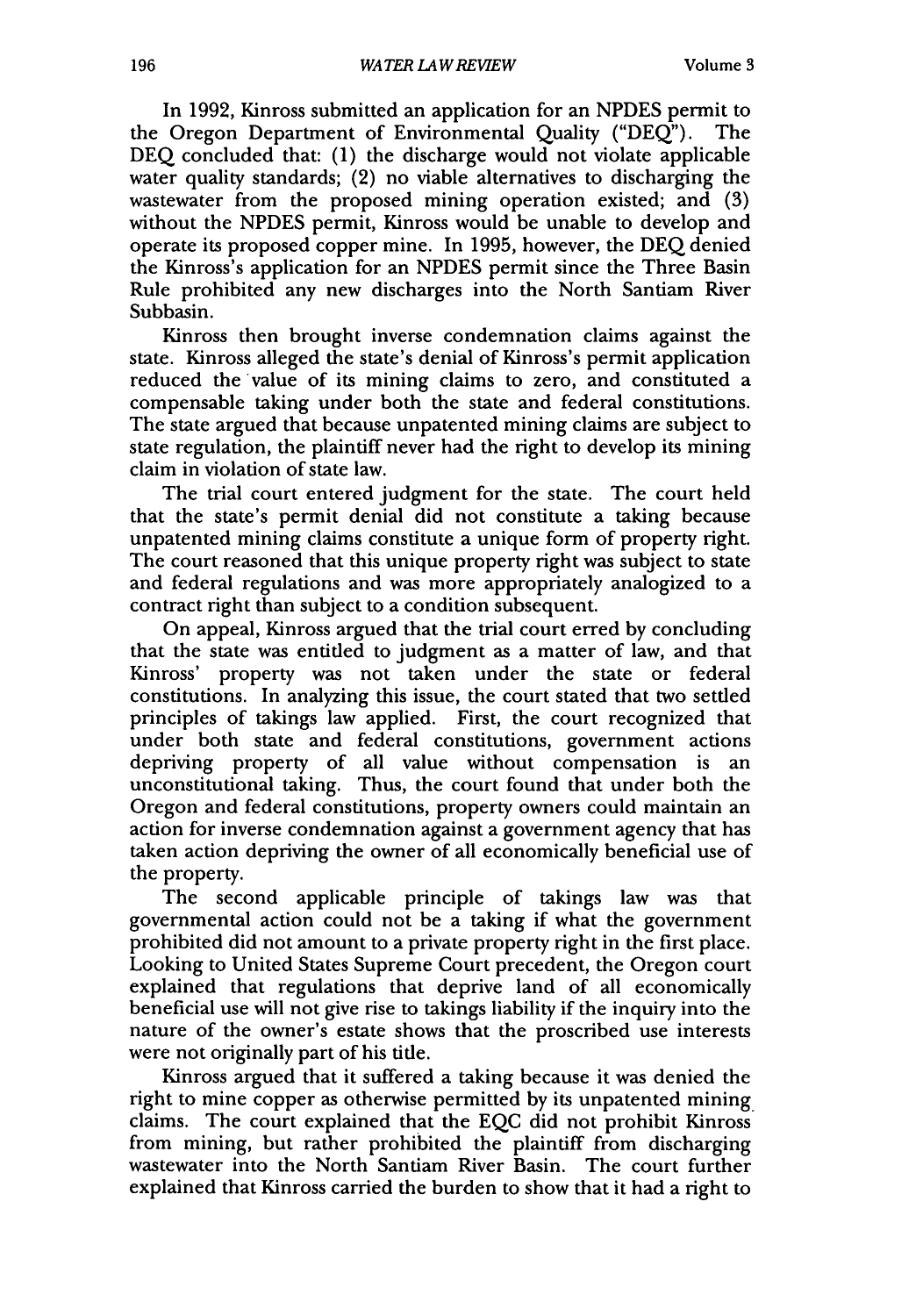In 1992, Kinross submitted an application for an NPDES permit to the Oregon Department of Environmental Quality ("DEQ"). The DEQ concluded that: (1) the discharge would not violate applicable water quality standards; (2) no viable alternatives to discharging the wastewater from the proposed mining operation existed; and (3) without the NPDES permit, Kinross would be unable to develop and operate its proposed copper mine. In 1995, however, the DEQ denied the Kinross's application for an NPDES permit since the Three Basin Rule prohibited any new discharges into the North Santiam River Subbasin.

Kinross then brought inverse condemnation claims against the state. Kinross alleged the state's denial of Kinross's permit application reduced the value of its mining claims to zero, and constituted a compensable taking under both the state and federal constitutions. The state argued that because unpatented mining claims are subject to state regulation, the plaintiff never had the right to develop its mining claim in violation of state law.

The trial court entered judgment for the state. The court held that the state's permit denial did not constitute a taking because unpatented mining claims constitute a unique form of property right. The court reasoned that this unique property right was subject to state and federal regulations and was more appropriately analogized to a contract right than subject to a condition subsequent.

On appeal, Kinross argued that the trial court erred by concluding that the state was entitled to judgment as a matter of law, and that Kinross' property was not taken under the state or federal constitutions. In analyzing this issue, the court stated that two settled principles of takings law applied. First, the court recognized that under both state and federal constitutions, government actions depriving property of all value without compensation is an unconstitutional taking. Thus, the court found that under both the Oregon and federal constitutions, property owners could maintain an action for inverse condemnation against a government agency that has taken action depriving the owner of all economically beneficial use of the property.

The second applicable principle of takings law was that governmental action could not be a taking if what the government prohibited did not amount to a private property right in the first place. Looking to United States Supreme Court precedent, the Oregon court explained that regulations that deprive land of all economically beneficial use will not give rise to takings liability if the inquiry into the nature of the owner's estate shows that the proscribed use interests were not originally part of his title.

Kinross argued that it suffered a taking because it was denied the right to mine copper as otherwise permitted by its unpatented mining, claims. The court explained that the EQC did not prohibit Kinross from mining, but rather prohibited the plaintiff from discharging wastewater into the North Santiam River Basin. The court further explained that Kinross carried the burden to show that it had a right to